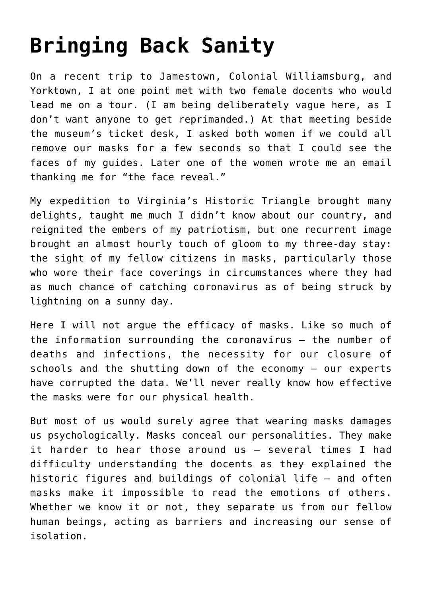## **[Bringing Back Sanity](https://intellectualtakeout.org/2020/09/bringing-back-sanity/)**

On a recent trip to Jamestown, Colonial Williamsburg, and Yorktown, I at one point met with two female docents who would lead me on a tour. (I am being deliberately vague here, as I don't want anyone to get reprimanded.) At that meeting beside the museum's ticket desk, I asked both women if we could all remove our masks for a few seconds so that I could see the faces of my guides. Later one of the women wrote me an email thanking me for "the face reveal."

My expedition to Virginia's Historic Triangle brought many delights, taught me much I didn't know about our country, and reignited the embers of my patriotism, but one recurrent image brought an almost hourly touch of gloom to my three-day stay: the sight of my fellow citizens in masks, particularly those who wore their face coverings in circumstances where they had as much chance of catching coronavirus as of being struck by lightning on a sunny day.

Here I will not argue the efficacy of masks. Like so much of the information surrounding the coronavirus – the number of deaths and infections, the necessity for our closure of schools and the shutting down of the economy – our experts have corrupted the data. We'll never really know how effective the masks were for our physical health.

But most of us would surely agree that wearing masks damages us psychologically. Masks conceal our personalities. They make it harder to hear those around us – several times I had difficulty understanding the docents as they explained the historic figures and buildings of colonial life – and often masks make it impossible to read the emotions of others. Whether we know it or not, they separate us from our fellow human beings, acting as barriers and increasing our sense of isolation.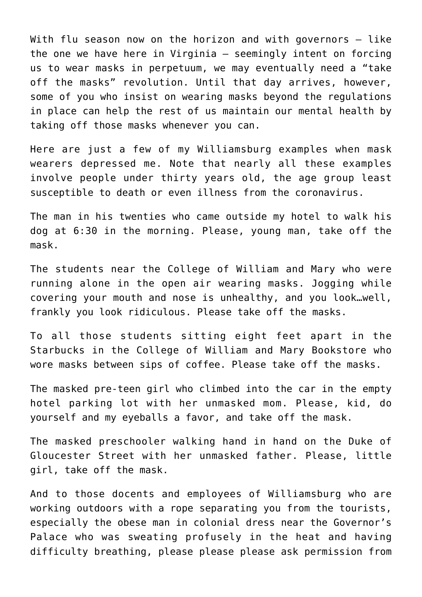With flu season now on the horizon and with governors – like the one we have here in Virginia – seemingly intent on forcing us to wear masks in perpetuum, we may eventually need a "take off the masks" revolution. Until that day arrives, however, some of you who insist on wearing masks beyond the regulations in place can help the rest of us maintain our mental health by taking off those masks whenever you can.

Here are just a few of my Williamsburg examples when mask wearers depressed me. Note that nearly all these examples involve people under thirty years old, the age group least susceptible to death or even illness from the coronavirus.

The man in his twenties who came outside my hotel to walk his dog at 6:30 in the morning. Please, young man, take off the mask.

The students near the College of William and Mary who were running alone in the open air wearing masks. Jogging while covering your mouth and nose is unhealthy, and you look…well, frankly you look ridiculous. Please take off the masks.

To all those students sitting eight feet apart in the Starbucks in the College of William and Mary Bookstore who wore masks between sips of coffee. Please take off the masks.

The masked pre-teen girl who climbed into the car in the empty hotel parking lot with her unmasked mom. Please, kid, do yourself and my eyeballs a favor, and take off the mask.

The masked preschooler walking hand in hand on the Duke of Gloucester Street with her unmasked father. Please, little girl, take off the mask.

And to those docents and employees of Williamsburg who are working outdoors with a rope separating you from the tourists, especially the obese man in colonial dress near the Governor's Palace who was sweating profusely in the heat and having difficulty breathing, please please please ask permission from